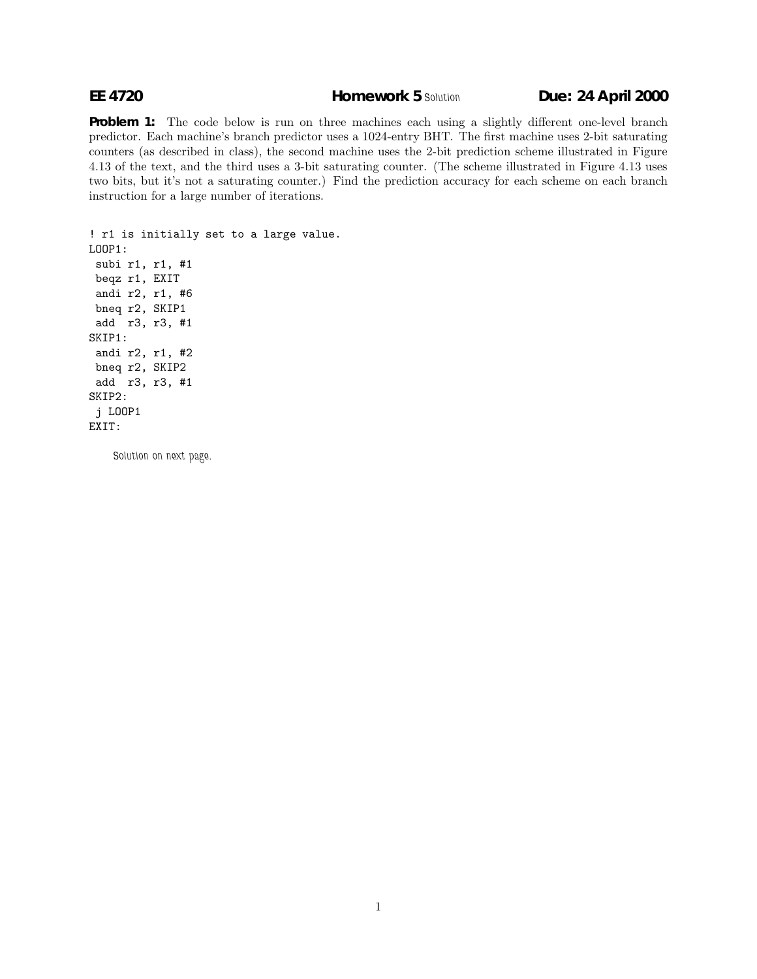**Problem 1:** The code below is run on three machines each using a slightly different one-level branch predictor. Each machine's branch predictor uses a 1024-entry BHT. The first machine uses 2-bit saturating counters (as described in class), the second machine uses the 2-bit prediction scheme illustrated in Figure 4.13 of the text, and the third uses a 3-bit saturating counter. (The scheme illustrated in Figure 4.13 uses two bits, but it's not a saturating counter.) Find the prediction accuracy for each scheme on each branch instruction for a large number of iterations.

```
! r1 is initially set to a large value.
LOOP1:
 subi r1, r1, #1
beqz r1, EXIT
 andi r2, r1, #6
bneq r2, SKIP1
 add r3, r3, #1
SKIP1:
 andi r2, r1, #2
bneq r2, SKIP2
 add r3, r3, #1
SKIP2:
 j LOOP1
EXIT:
```
*Solution on next page.*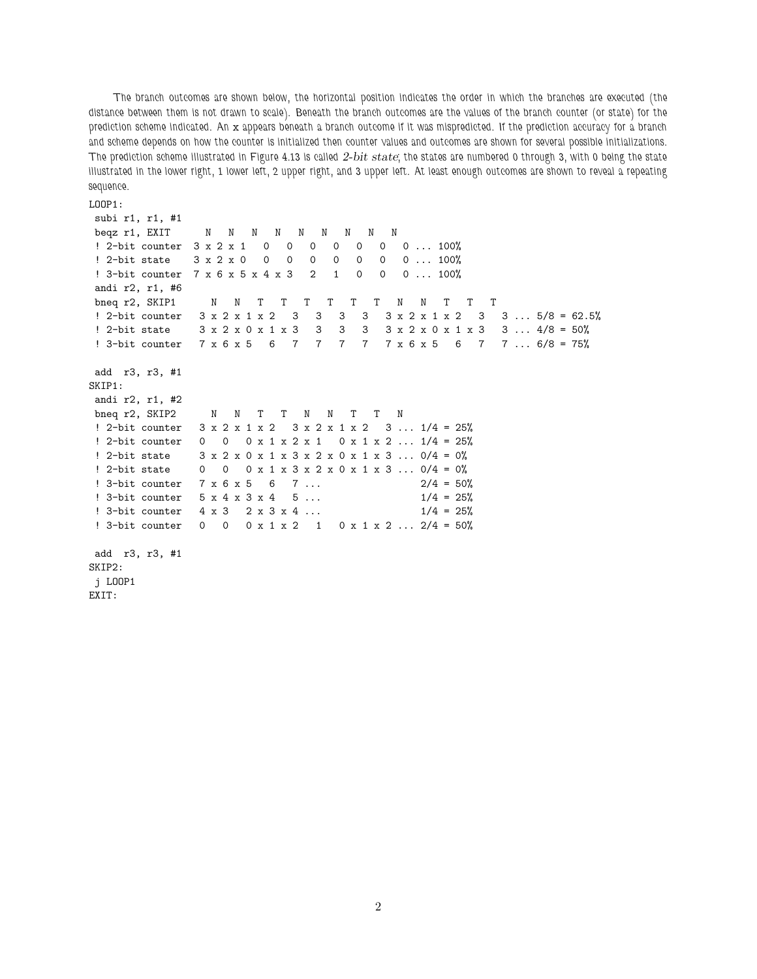*The branch outcomes are shown below, the horizontal position indicates the order in which the branches are executed (the distance between them is not drawn to scale). Beneath the branch outcomes are the values of the branch counter (or state) for the prediction scheme indicated. An* x *appears beneath a branch outcome if it was mispredicted. If the prediction accuracy for a branch and scheme depends on how the counter is initialized then counter values and outcomes are shown for several possible initializations. The prediction scheme illustrated in Figure 4.13 is called 2-bit state; the states are numbered 0 through 3, with 0 being the state illustrated in the lower right, 1 lower left, 2 upper right, and 3 upper left. At least enough outcomes are shown to reveal a repeating sequence.*

```
LOOP1:
```

```
subi r1, r1, #1
beqz r1, EXIT N N N N N N N N
! 2-bit counter 3 x 2 x 1 0 0 0 0 0 0 0 ... 100%
! 2-bit state 3 x 2 x 0 0 0 0 0 0 0 0 ... 100%
! 3-bit counter 7 x 6 x 5 x 4 x 3 2 1 0 0 0 ... 100%
andi r2, r1, #6
bneq r2, SKIP1 N N T T T T T T T N N T T T
! 2-bit counter 3 x 2 x 1 x 2 3 3 3 3 3 x 2 x 1 x 2 3 3 ... 5/8 = 62.5%
! 2-bit state 3 x 2 x 0 x 1 x 3 3 3 3 3 x 2 x 0 x 1 x 3 3 ... 4/8 = 50%
! 3-bit counter 7 x 6 x 5 6 7 7 7 7 7 x 6 x 5 6 7 7 ... 6/8 = 75%
add r3, r3, #1
SKIP1:
andi r2, r1, #2
bneq r2, SKIP2 N N T T N N T T N
! 2-bit counter 3 \times 2 \times 1 \times 2 3 \times 2 \times 1 \times 2 3 \ldots 1/4 = 25%! 2-bit counter 0 0 0 x 1 x 2 x 1 0 x 1 x 2 ... 1/4 = 25%
! 2-bit state 3 x 2 x 0 x 1 x 3 x 2 x 0 x 1 x 3 ... 0/4 = 0%
! 2-bit state 0 0 0 x 1 x 3 x 2 x 0 x 1 x 3 ... 0/4 = 0%
! 3-bit counter 7 x 6 x 5 6 7 ... 2/4 = 50%
! 3-bit counter 5 \times 4 \times 3 \times 4 = 5... 1/4 = 25%! 3-bit counter 4 \times 3 2 x 3 x 4 ... 1/4 = 25%! 3-bit counter 0 0 0 x 1 x 2 1 0 x 1 x 2 ... 2/4 = 50%
add r3, r3, #1
SKIP2:
j LOOP1
EXIT:
```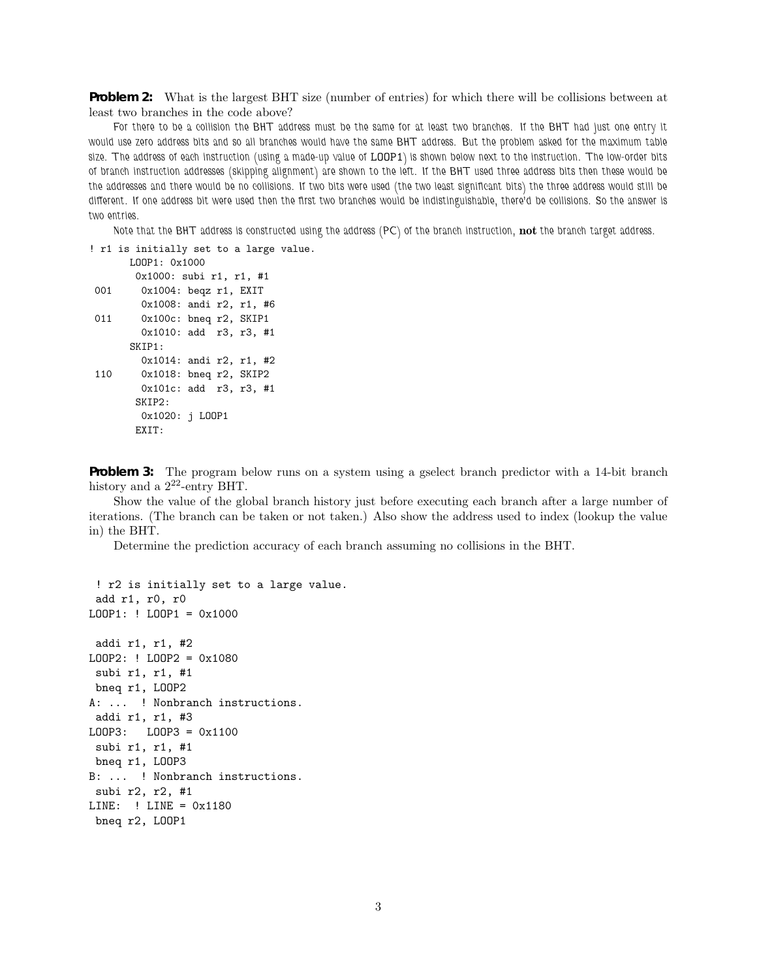**Problem 2:** What is the largest BHT size (number of entries) for which there will be collisions between at least two branches in the code above?

*For there to be a collision the BHT address must be the same for at least two branches. If the BHT had just one entry it would use zero address bits and so all branches would have the same BHT address. But the problem asked for the maximum table size. The address of each instruction (using a made-up value of* LOOP1*) is shown below next to the instruction. The low-order bits of branch instruction addresses (skipping alignment) are shown to the left. If the BHT used three address bits then these would be the addresses and there would be no collisions. If two bits were used (the two least significant bits) the three address would still be different. If one address bit were used then the first two branches would be indistinguishable, there'd be collisions. So the answer is two entries.*

*Note that the BHT address is constructed using the address (PC) of the branch instruction,* **not** *the branch target address.*

! r1 is initially set to a large value. LOOP1: 0x1000 0x1000: subi r1, r1, #1 001 0x1004: beqz r1, EXIT 0x1008: andi r2, r1, #6 011 0x100c: bneq r2, SKIP1 0x1010: add r3, r3, #1 SKIP1: 0x1014: andi r2, r1, #2 110 0x1018: bneq r2, SKIP2 0x101c: add r3, r3, #1 SKIP2: 0x1020: j LOOP1 EXIT:

**Problem 3:** The program below runs on a system using a gselect branch predictor with a 14-bit branch history and a  $2^{22}$ -entry BHT.

Show the value of the global branch history just before executing each branch after a large number of iterations. (The branch can be taken or not taken.) Also show the address used to index (lookup the value in) the BHT.

Determine the prediction accuracy of each branch assuming no collisions in the BHT.

```
! r2 is initially set to a large value.
 add r1, r0, r0
LOOP1: ! LOOP1 = 0x1000
addi r1, r1, #2
LOOP2: ! LOOP2 = 0x1080
 subi r1, r1, #1
bneq r1, LOOP2
A: ... ! Nonbranch instructions.
 addi r1, r1, #3
LOOP3: LOOP3 = 0x1100
subi r1, r1, #1
bneq r1, LOOP3
B: ... ! Nonbranch instructions.
 subi r2, r2, #1
LINE: ! LINE = 0x1180
bneq r2, LOOP1
```